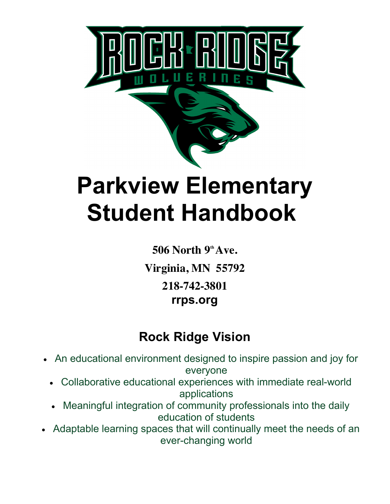

# **Parkview Elementary Student Handbook**

**506 North 9<sup>th</sup> Ave. Virginia, MN 55792 218-742-3801 rrps.org**

# **Rock Ridge Vision**

- An educational environment designed to inspire passion and joy for everyone
	- Collaborative educational experiences with immediate real-world applications
	- Meaningful integration of community professionals into the daily education of students
- Adaptable learning spaces that will continually meet the needs of an ever-changing world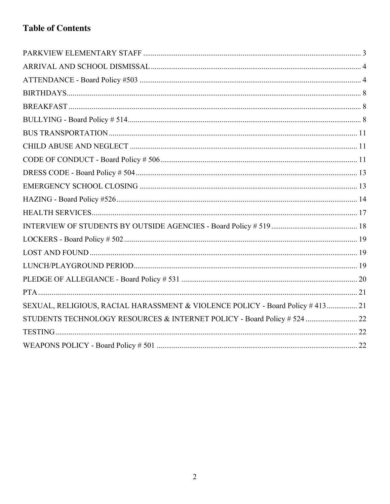## **Table of Contents**

| SEXUAL, RELIGIOUS, RACIAL HARASSMENT & VIOLENCE POLICY - Board Policy # 413 21 |  |
|--------------------------------------------------------------------------------|--|
| STUDENTS TECHNOLOGY RESOURCES & INTERNET POLICY - Board Policy # 524  22       |  |
|                                                                                |  |
|                                                                                |  |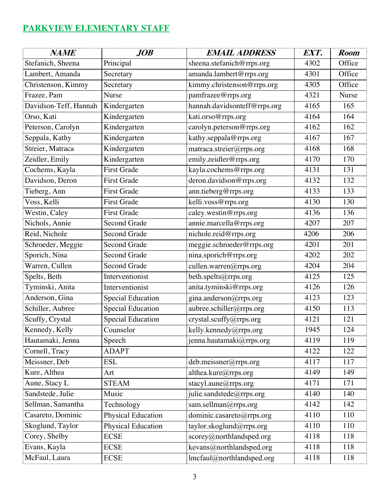## **PARKVIEW ELEMENTARY STAFF**

| <b>NAME</b>                        | JOB                      | <b>EMAIL ADDRESS</b>                           | EXT. | <b>Room</b> |
|------------------------------------|--------------------------|------------------------------------------------|------|-------------|
| Stefanich, Sheena                  | Principal                | sheena.stefanich@rrps.org                      | 4302 | Office      |
| Lambert, Amanda                    | Secretary                | amanda.lambert@rrps.org                        | 4301 | Office      |
| Christenson, Kimmy                 | Secretary                | kimmy.christenson@rrps.org                     | 4305 | Office      |
| Frazee, Pam                        | <b>Nurse</b>             | pamfrazee@rrps.org                             | 4321 | Nurse       |
| Davidson-Teff, Hannah              | Kindergarten             | hannah.davidsonteff@rrps.org                   | 4165 | 165         |
| Orso, Kati                         | Kindergarten             | kati.orso@rrps.org                             | 4164 | 164         |
| Peterson, Carolyn                  | Kindergarten             | carolyn.peterson@rrps.org                      | 4162 | 162         |
| Seppala, Kathy                     | Kindergarten             | kathy.seppala@rrps.org                         | 4167 | 167         |
| Streier, Matraca                   | Kindergarten             | matraca.streier@rrps.org                       | 4168 | 168         |
| Zeidler, Emily                     | Kindergarten             | emily.zeidler@rrps.org                         | 4170 | 170         |
| Cochems, Kayla                     | <b>First Grade</b>       | kayla.cochems@rrps.org                         | 4131 | 131         |
| Davidson, Deron                    | <b>First Grade</b>       | deron.davidson@rrps.org                        | 4132 | 132         |
| Tieberg, Ann                       | <b>First Grade</b>       | ann.tieberg@rrps.org                           | 4133 | 133         |
| Voss, Kelli                        | <b>First Grade</b>       | kelli.voss@rrps.org                            | 4130 | 130         |
| $\overline{\text{West}}$ in, Caley | <b>First Grade</b>       | caley.westin@rrps.org                          | 4136 | 136         |
| Nichols, Annie                     | <b>Second Grade</b>      | annie.marcella@rrps.org                        | 4207 | 207         |
| Reid, Nichole                      | Second Grade             | nichole.reid@rrps.org                          | 4206 | 206         |
| Schroeder, Meggie                  | Second Grade             | meggie.schroeder@rrps.org                      | 4201 | 201         |
| Sporich, Nina                      | <b>Second Grade</b>      | nina.sporich@rrps.org                          | 4202 | 202         |
| Warren, Cullen                     | <b>Second Grade</b>      | cullen.warren@rrps.org                         | 4204 | 204         |
| Spelts, Beth                       | Interventionist          | beth.spelts@rrps.org                           | 4125 | 125         |
| Tyminski, Anita                    | Interventionist          | anita.tyminski@rrps.org                        | 4126 | 126         |
| Anderson, Gina                     | <b>Special Education</b> | gina.anderson@rrps.org                         | 4123 | 123         |
| Schiller, Aubree                   | <b>Special Education</b> | aubree.schiller@rrps.org                       | 4150 | 113         |
| Scuffy, Crystal                    | Special Education        | crystal.scuffy@rrps.org                        | 4121 | 121         |
| Kennedy, Kelly                     | Counselor                | kelly.kennedy@rrps.org                         | 1945 | 124         |
| Hautamaki, Jenna                   | Speech                   | jenna.hautamaki@rrps.org                       | 4119 | 119         |
| Cornell, Tracy                     | <b>ADAPT</b>             |                                                | 4122 | 122         |
| Meissner, Deb                      | <b>ESL</b>               | deb.meissner@rrps.org                          | 4117 | 117         |
| Kure, Althea                       | Art                      | althea.kure@rrps.org                           | 4149 | 149         |
| Aune, Stacy L                      | <b>STEAM</b>             | stacyl.aune@rrps.org                           | 4171 | 171         |
| Sandstede, Julie                   | Music                    | julie.sandstede@rrps.org                       | 4140 | 140         |
| Sellman, Samantha                  | Technology               | sam.sellman@rrps.org                           | 4142 | 142         |
| Casareto, Dominic                  | Physical Education       | dominic.casareto@rrps.org                      | 4110 | 110         |
| Skoglund, Taylor                   | Physical Education       | taylor.skoglund@rrps.org                       | 4110 | 110         |
| Corey, Shelby                      | <b>ECSE</b>              | scorey@northlandsped.org                       | 4118 | 118         |
| Evans, Kayla                       | <b>ECSE</b>              | kevans@northlandsped.org                       | 4118 | 118         |
| McFaul, Laura                      | <b>ECSE</b>              | $\overline{\text{Imc}}$ faul@northlandsped.org | 4118 | 118         |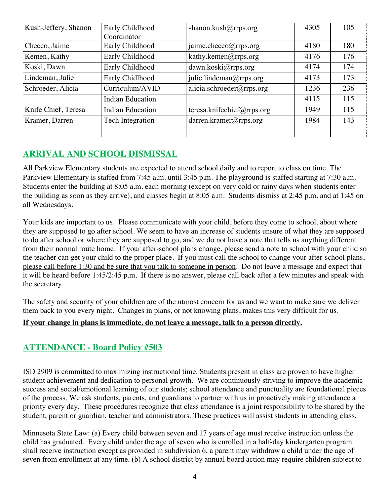| Kush-Jeffery, Shanon | Early Childhood         | shanon.kush@rrps.org       | 4305 | 105 |
|----------------------|-------------------------|----------------------------|------|-----|
|                      | Coordinator             |                            |      |     |
| Checco, Jaime        | Early Childhood         | jaime.checco@rrps.org      | 4180 | 180 |
| Kemen, Kathy         | Early Childhood         | kathy.kemen@rrps.org       | 4176 | 176 |
| Koski, Dawn          | Early Childhood         | dawn.koski@rrps.org        | 4174 | 174 |
| Lindeman, Julie      | Early Chidlhood         | julie.lindeman@rrps.org    | 4173 | 173 |
| Schroeder, Alicia    | Curriculum/AVID         | alicia.schroeder@rrps.org  | 1236 | 236 |
|                      | <b>Indian Education</b> |                            | 4115 | 115 |
| Knife Chief, Teresa  | Indian Education        | teresa.knifechief@rrps.org | 1949 | 115 |
| Kramer, Darren       | Tech Integration        | darren.kramer@rrps.org     | 1984 | 143 |
|                      |                         |                            |      |     |

## **ARRIVAL AND SCHOOL DISMISSAL**

All Parkview Elementary students are expected to attend school daily and to report to class on time. The Parkview Elementary is staffed from 7:45 a.m. until 3:45 p.m. The playground is staffed starting at 7:30 a.m. Students enter the building at 8:05 a.m. each morning (except on very cold or rainy days when students enter the building as soon as they arrive), and classes begin at 8:05 a.m. Students dismiss at 2:45 p.m. and at 1:45 on all Wednesdays.

Your kids are important to us. Please communicate with your child, before they come to school, about where they are supposed to go after school. We seem to have an increase of students unsure of what they are supposed to do after school or where they are supposed to go, and we do not have a note that tells us anything different from their normal route home. If your after-school plans change, please send a note to school with your child so the teacher can get your child to the proper place. If you must call the school to change your after-school plans, please call before 1:30 and be sure that you talk to someone in person. Do not leave a message and expect that it will be heard before 1:45/2:45 p.m. If there is no answer, please call back after a few minutes and speak with the secretary.

The safety and security of your children are of the utmost concern for us and we want to make sure we deliver them back to you every night. Changes in plans, or not knowing plans, makes this very difficult for us.

#### **If your change in plans is immediate, do not leave a message, talk to a person directly.**

## **ATTENDANCE - Board Policy #503**

ISD 2909 is committed to maximizing instructional time. Students present in class are proven to have higher student achievement and dedication to personal growth. We are continuously striving to improve the academic success and social/emotional learning of our students; school attendance and punctuality are foundational pieces of the process. We ask students, parents, and guardians to partner with us in proactively making attendance a priority every day. These procedures recognize that class attendance is a joint responsibility to be shared by the student, parent or guardian, teacher and administrators. These practices will assist students in attending class.

Minnesota State Law: (a) Every child between seven and 17 years of age must receive instruction unless the child has graduated. Every child under the age of seven who is enrolled in a half-day kindergarten program shall receive instruction except as provided in subdivision 6, a parent may withdraw a child under the age of seven from enrollment at any time. (b) A school district by annual board action may require children subject to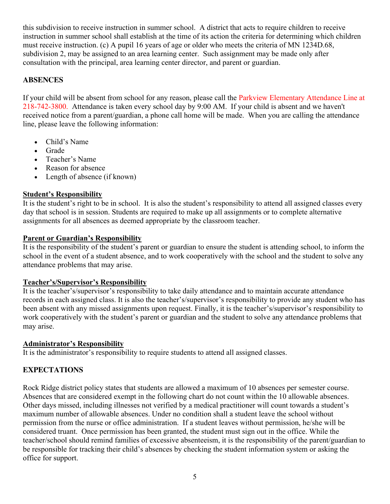this subdivision to receive instruction in summer school. A district that acts to require children to receive instruction in summer school shall establish at the time of its action the criteria for determining which children must receive instruction. (c) A pupil 16 years of age or older who meets the criteria of MN 1234D.68, subdivision 2, may be assigned to an area learning center. Such assignment may be made only after consultation with the principal, area learning center director, and parent or guardian.

#### **ABSENCES**

If your child will be absent from school for any reason, please call the Parkview Elementary Attendance Line at 218-742-3800. Attendance is taken every school day by 9:00 AM. If your child is absent and we haven't received notice from a parent/guardian, a phone call home will be made. When you are calling the attendance line, please leave the following information:

- Child's Name
- Grade
- Teacher's Name
- Reason for absence
- Length of absence (if known)

#### **Student's Responsibility**

It is the student's right to be in school. It is also the student's responsibility to attend all assigned classes every day that school is in session. Students are required to make up all assignments or to complete alternative assignments for all absences as deemed appropriate by the classroom teacher.

#### **Parent or Guardian's Responsibility**

It is the responsibility of the student's parent or guardian to ensure the student is attending school, to inform the school in the event of a student absence, and to work cooperatively with the school and the student to solve any attendance problems that may arise.

#### **Teacher's/Supervisor's Responsibility**

It is the teacher's/supervisor's responsibility to take daily attendance and to maintain accurate attendance records in each assigned class. It is also the teacher's/supervisor's responsibility to provide any student who has been absent with any missed assignments upon request. Finally, it is the teacher's/supervisor's responsibility to work cooperatively with the student's parent or guardian and the student to solve any attendance problems that may arise.

#### **Administrator's Responsibility**

It is the administrator's responsibility to require students to attend all assigned classes.

#### **EXPECTATIONS**

Rock Ridge district policy states that students are allowed a maximum of 10 absences per semester course. Absences that are considered exempt in the following chart do not count within the 10 allowable absences. Other days missed, including illnesses not verified by a medical practitioner will count towards a student's maximum number of allowable absences. Under no condition shall a student leave the school without permission from the nurse or office administration. If a student leaves without permission, he/she will be considered truant. Once permission has been granted, the student must sign out in the office. While the teacher/school should remind families of excessive absenteeism, it is the responsibility of the parent/guardian to be responsible for tracking their child's absences by checking the student information system or asking the office for support.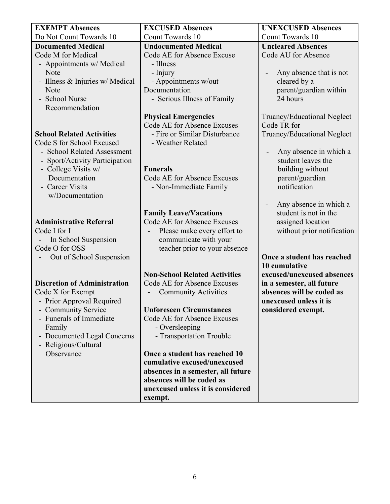| <b>EXEMPT Absences</b>              | <b>EXCUSED Absences</b>              | <b>UNEXCUSED Absences</b>                           |
|-------------------------------------|--------------------------------------|-----------------------------------------------------|
| Do Not Count Towards 10             | <b>Count Towards 10</b>              | <b>Count Towards 10</b>                             |
| <b>Documented Medical</b>           | <b>Undocumented Medical</b>          | <b>Uncleared Absences</b>                           |
| Code M for Medical                  | Code AE for Absence Excuse           | Code AU for Absence                                 |
| - Appointments w/ Medical           | - Illness                            |                                                     |
| Note                                | - Injury                             | Any absence that is not<br>$\overline{\phantom{a}}$ |
| - Illness & Injuries w/ Medical     | - Appointments w/out                 | cleared by a                                        |
| Note                                | Documentation                        | parent/guardian within                              |
| - School Nurse                      | - Serious Illness of Family          | 24 hours                                            |
| Recommendation                      |                                      |                                                     |
|                                     | <b>Physical Emergencies</b>          | Truancy/Educational Neglect                         |
|                                     | Code AE for Absence Excuses          | Code TR for                                         |
| <b>School Related Activities</b>    | - Fire or Similar Disturbance        | Truancy/Educational Neglect                         |
| Code S for School Excused           | - Weather Related                    |                                                     |
| - School Related Assessment         |                                      | Any absence in which a<br>$\overline{\phantom{a}}$  |
| - Sport/Activity Participation      |                                      | student leaves the                                  |
| - College Visits w/                 | <b>Funerals</b>                      | building without                                    |
| Documentation                       | Code AE for Absence Excuses          | parent/guardian                                     |
| - Career Visits                     | - Non-Immediate Family               | notification                                        |
| w/Documentation                     |                                      |                                                     |
|                                     |                                      | Any absence in which a<br>$\qquad \qquad -$         |
|                                     | <b>Family Leave/Vacations</b>        | student is not in the                               |
| <b>Administrative Referral</b>      | Code AE for Absence Excuses          | assigned location                                   |
| Code I for I                        | Please make every effort to          | without prior notification                          |
| In School Suspension                | communicate with your                |                                                     |
| Code O for OSS                      | teacher prior to your absence        |                                                     |
| Out of School Suspension            |                                      | Once a student has reached                          |
|                                     |                                      | 10 cumulative                                       |
|                                     | <b>Non-School Related Activities</b> | excused/unexcused absences                          |
| <b>Discretion of Administration</b> | Code AE for Absence Excuses          | in a semester, all future                           |
| Code X for Exempt                   | <b>Community Activities</b>          | absences will be coded as                           |
| - Prior Approval Required           |                                      | unexcused unless it is                              |
| - Community Service                 | <b>Unforeseen Circumstances</b>      | considered exempt.                                  |
| - Funerals of Immediate             | Code AE for Absence Excuses          |                                                     |
| Family                              | - Oversleeping                       |                                                     |
| - Documented Legal Concerns         | - Transportation Trouble             |                                                     |
| - Religious/Cultural                |                                      |                                                     |
| Observance                          | Once a student has reached 10        |                                                     |
|                                     | cumulative excused/unexcused         |                                                     |
|                                     | absences in a semester, all future   |                                                     |
|                                     | absences will be coded as            |                                                     |
|                                     | unexcused unless it is considered    |                                                     |
|                                     | exempt.                              |                                                     |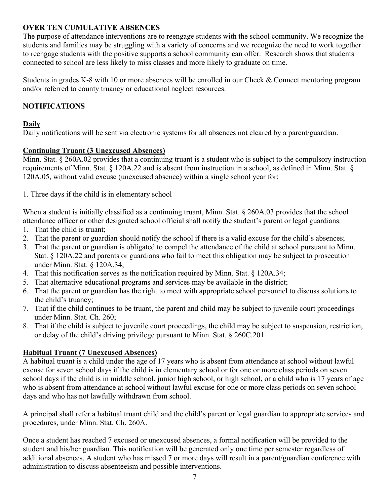#### **OVER TEN CUMULATIVE ABSENCES**

The purpose of attendance interventions are to reengage students with the school community. We recognize the students and families may be struggling with a variety of concerns and we recognize the need to work together to reengage students with the positive supports a school community can offer. Research shows that students connected to school are less likely to miss classes and more likely to graduate on time.

Students in grades K-8 with 10 or more absences will be enrolled in our Check & Connect mentoring program and/or referred to county truancy or educational neglect resources.

#### **NOTIFICATIONS**

#### **Daily**

Daily notifications will be sent via electronic systems for all absences not cleared by a parent/guardian.

#### **Continuing Truant (3 Unexcused Absences)**

Minn. Stat. § 260A.02 provides that a continuing truant is a student who is subject to the compulsory instruction requirements of Minn. Stat. § 120A.22 and is absent from instruction in a school, as defined in Minn. Stat. § 120A.05, without valid excuse (unexcused absence) within a single school year for:

1. Three days if the child is in elementary school

When a student is initially classified as a continuing truant, Minn. Stat. § 260A.03 provides that the school attendance officer or other designated school official shall notify the student's parent or legal guardians.

- 1. That the child is truant;
- 2. That the parent or guardian should notify the school if there is a valid excuse for the child's absences;
- 3. That the parent or guardian is obligated to compel the attendance of the child at school pursuant to Minn. Stat. § 120A.22 and parents or guardians who fail to meet this obligation may be subject to prosecution under Minn. Stat. § 120A.34;
- 4. That this notification serves as the notification required by Minn. Stat. § 120A.34;
- 5. That alternative educational programs and services may be available in the district;
- 6. That the parent or guardian has the right to meet with appropriate school personnel to discuss solutions to the child's truancy;
- 7. That if the child continues to be truant, the parent and child may be subject to juvenile court proceedings under Minn. Stat. Ch. 260;
- 8. That if the child is subject to juvenile court proceedings, the child may be subject to suspension, restriction, or delay of the child's driving privilege pursuant to Minn. Stat. § 260C.201.

#### **Habitual Truant (7 Unexcused Absences)**

A habitual truant is a child under the age of 17 years who is absent from attendance at school without lawful excuse for seven school days if the child is in elementary school or for one or more class periods on seven school days if the child is in middle school, junior high school, or high school, or a child who is 17 years of age who is absent from attendance at school without lawful excuse for one or more class periods on seven school days and who has not lawfully withdrawn from school.

A principal shall refer a habitual truant child and the child's parent or legal guardian to appropriate services and procedures, under Minn. Stat. Ch. 260A.

Once a student has reached 7 excused or unexcused absences, a formal notification will be provided to the student and his/her guardian. This notification will be generated only one time per semester regardless of additional absences. A student who has missed 7 or more days will result in a parent/guardian conference with administration to discuss absenteeism and possible interventions.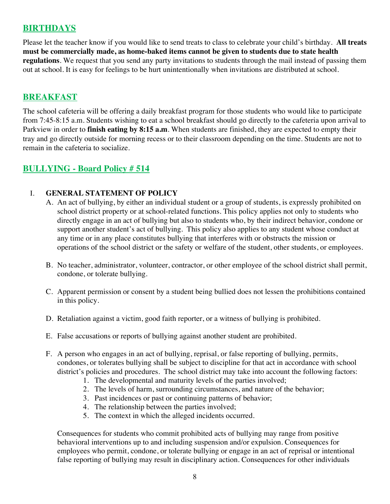## **BIRTHDAYS**

Please let the teacher know if you would like to send treats to class to celebrate your child's birthday. **All treats must be commercially made, as home-baked items cannot be given to students due to state health regulations**. We request that you send any party invitations to students through the mail instead of passing them out at school. It is easy for feelings to be hurt unintentionally when invitations are distributed at school.

#### **BREAKFAST**

The school cafeteria will be offering a daily breakfast program for those students who would like to participate from 7:45-8:15 a.m. Students wishing to eat a school breakfast should go directly to the cafeteria upon arrival to Parkview in order to **finish eating by 8:15 a.m**. When students are finished, they are expected to empty their tray and go directly outside for morning recess or to their classroom depending on the time. Students are not to remain in the cafeteria to socialize.

#### **BULLYING - Board Policy # 514**

#### I. **GENERAL STATEMENT OF POLICY**

- A. An act of bullying, by either an individual student or a group of students, is expressly prohibited on school district property or at school-related functions. This policy applies not only to students who directly engage in an act of bullying but also to students who, by their indirect behavior, condone or support another student's act of bullying. This policy also applies to any student whose conduct at any time or in any place constitutes bullying that interferes with or obstructs the mission or operations of the school district or the safety or welfare of the student, other students, or employees.
- B. No teacher, administrator, volunteer, contractor, or other employee of the school district shall permit, condone, or tolerate bullying.
- C. Apparent permission or consent by a student being bullied does not lessen the prohibitions contained in this policy.
- D. Retaliation against a victim, good faith reporter, or a witness of bullying is prohibited.
- E. False accusations or reports of bullying against another student are prohibited.
- F. A person who engages in an act of bullying, reprisal, or false reporting of bullying, permits, condones, or tolerates bullying shall be subject to discipline for that act in accordance with school district's policies and procedures. The school district may take into account the following factors:
	- 1. The developmental and maturity levels of the parties involved;
	- 2. The levels of harm, surrounding circumstances, and nature of the behavior;
	- 3. Past incidences or past or continuing patterns of behavior;
	- 4. The relationship between the parties involved;
	- 5. The context in which the alleged incidents occurred.

Consequences for students who commit prohibited acts of bullying may range from positive behavioral interventions up to and including suspension and/or expulsion. Consequences for employees who permit, condone, or tolerate bullying or engage in an act of reprisal or intentional false reporting of bullying may result in disciplinary action. Consequences for other individuals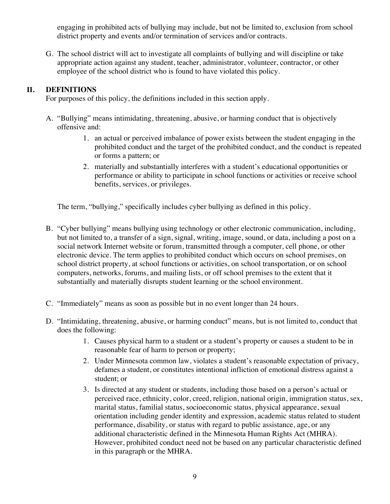engaging in prohibited acts of bullying may include, but not be limited to, exclusion from school district property and events and/or termination of services and/or contracts.

G. The school district will act to investigate all complaints of bullying and will discipline or take appropriate action against any student, teacher, administrator, volunteer, contractor, or other employee of the school district who is found to have violated this policy.

#### **II. DEFINITIONS**

For purposes of this policy, the definitions included in this section apply.

- A. "Bullying" means intimidating, threatening, abusive, or harming conduct that is objectively offensive and:
	- 1. an actual or perceived imbalance of power exists between the student engaging in the prohibited conduct and the target of the prohibited conduct, and the conduct is repeated or forms a pattern; or
	- 2. materially and substantially interferes with a student's educational opportunities or performance or ability to participate in school functions or activities or receive school benefits, services, or privileges.

The term, "bullying," specifically includes cyber bullying as defined in this policy.

- B. "Cyber bullying" means bullying using technology or other electronic communication, including, but not limited to, a transfer of a sign, signal, writing, image, sound, or data, including a post on a social network Internet website or forum, transmitted through a computer, cell phone, or other electronic device. The term applies to prohibited conduct which occurs on school premises, on school district property, at school functions or activities, on school transportation, or on school computers, networks, forums, and mailing lists, or off school premises to the extent that it substantially and materially disrupts student learning or the school environment.
- C. "Immediately" means as soon as possible but in no event longer than 24 hours.
- D. "Intimidating, threatening, abusive, or harming conduct" means, but is not limited to, conduct that does the following:
	- 1. Causes physical harm to a student or a student's property or causes a student to be in reasonable fear of harm to person or property;
	- 2. Under Minnesota common law, violates a student's reasonable expectation of privacy, defames a student, or constitutes intentional infliction of emotional distress against a student; or
	- 3. Is directed at any student or students, including those based on a person's actual or perceived race, ethnicity, color, creed, religion, national origin, immigration status, sex, marital status, familial status, socioeconomic status, physical appearance, sexual orientation including gender identity and expression, academic status related to student performance, disability, or status with regard to public assistance, age, or any additional characteristic defined in the Minnesota Human Rights Act (MHRA). However, prohibited conduct need not be based on any particular characteristic defined in this paragraph or the MHRA.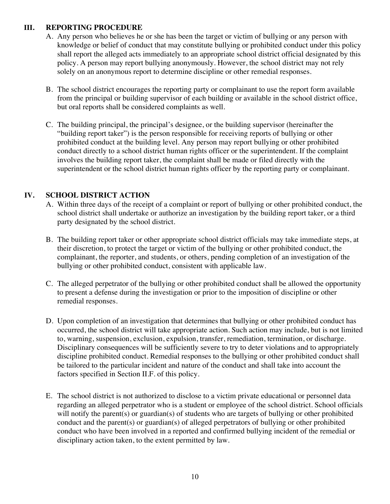#### **III. REPORTING PROCEDURE**

- A. Any person who believes he or she has been the target or victim of bullying or any person with knowledge or belief of conduct that may constitute bullying or prohibited conduct under this policy shall report the alleged acts immediately to an appropriate school district official designated by this policy. A person may report bullying anonymously. However, the school district may not rely solely on an anonymous report to determine discipline or other remedial responses.
- B. The school district encourages the reporting party or complainant to use the report form available from the principal or building supervisor of each building or available in the school district office, but oral reports shall be considered complaints as well.
- C. The building principal, the principal's designee, or the building supervisor (hereinafter the "building report taker") is the person responsible for receiving reports of bullying or other prohibited conduct at the building level. Any person may report bullying or other prohibited conduct directly to a school district human rights officer or the superintendent. If the complaint involves the building report taker, the complaint shall be made or filed directly with the superintendent or the school district human rights officer by the reporting party or complainant.

#### **IV. SCHOOL DISTRICT ACTION**

- A. Within three days of the receipt of a complaint or report of bullying or other prohibited conduct, the school district shall undertake or authorize an investigation by the building report taker, or a third party designated by the school district.
- B. The building report taker or other appropriate school district officials may take immediate steps, at their discretion, to protect the target or victim of the bullying or other prohibited conduct, the complainant, the reporter, and students, or others, pending completion of an investigation of the bullying or other prohibited conduct, consistent with applicable law.
- C. The alleged perpetrator of the bullying or other prohibited conduct shall be allowed the opportunity to present a defense during the investigation or prior to the imposition of discipline or other remedial responses.
- D. Upon completion of an investigation that determines that bullying or other prohibited conduct has occurred, the school district will take appropriate action. Such action may include, but is not limited to, warning, suspension, exclusion, expulsion, transfer, remediation, termination, or discharge. Disciplinary consequences will be sufficiently severe to try to deter violations and to appropriately discipline prohibited conduct. Remedial responses to the bullying or other prohibited conduct shall be tailored to the particular incident and nature of the conduct and shall take into account the factors specified in Section II.F. of this policy.
- E. The school district is not authorized to disclose to a victim private educational or personnel data regarding an alleged perpetrator who is a student or employee of the school district. School officials will notify the parent(s) or guardian(s) of students who are targets of bullying or other prohibited conduct and the parent(s) or guardian(s) of alleged perpetrators of bullying or other prohibited conduct who have been involved in a reported and confirmed bullying incident of the remedial or disciplinary action taken, to the extent permitted by law.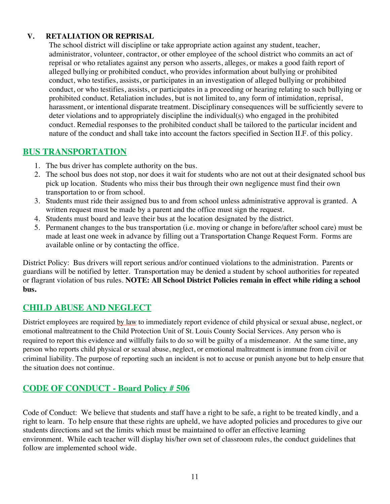#### **V. RETALIATION OR REPRISAL**

The school district will discipline or take appropriate action against any student, teacher, administrator, volunteer, contractor, or other employee of the school district who commits an act of reprisal or who retaliates against any person who asserts, alleges, or makes a good faith report of alleged bullying or prohibited conduct, who provides information about bullying or prohibited conduct, who testifies, assists, or participates in an investigation of alleged bullying or prohibited conduct, or who testifies, assists, or participates in a proceeding or hearing relating to such bullying or prohibited conduct. Retaliation includes, but is not limited to, any form of intimidation, reprisal, harassment, or intentional disparate treatment. Disciplinary consequences will be sufficiently severe to deter violations and to appropriately discipline the individual(s) who engaged in the prohibited conduct. Remedial responses to the prohibited conduct shall be tailored to the particular incident and nature of the conduct and shall take into account the factors specified in Section II.F. of this policy.

## **BUS TRANSPORTATION**

- 1. The bus driver has complete authority on the bus.
- 2. The school bus does not stop, nor does it wait for students who are not out at their designated school bus pick up location. Students who miss their bus through their own negligence must find their own transportation to or from school.
- 3. Students must ride their assigned bus to and from school unless administrative approval is granted. A written request must be made by a parent and the office must sign the request.
- 4. Students must board and leave their bus at the location designated by the district.
- 5. Permanent changes to the bus transportation (i.e. moving or change in before/after school care) must be made at least one week in advance by filling out a Transportation Change Request Form. Forms are available online or by contacting the office.

District Policy: Bus drivers will report serious and/or continued violations to the administration. Parents or guardians will be notified by letter. Transportation may be denied a student by school authorities for repeated or flagrant violation of bus rules. **NOTE: All School District Policies remain in effect while riding a school bus.**

## **CHILD ABUSE AND NEGLECT**

District employees are required by law to immediately report evidence of child physical or sexual abuse, neglect, or emotional maltreatment to the Child Protection Unit of St. Louis County Social Services. Any person who is required to report this evidence and willfully fails to do so will be guilty of a misdemeanor. At the same time, any person who reports child physical or sexual abuse, neglect, or emotional maltreatment is immune from civil or criminal liability. The purpose of reporting such an incident is not to accuse or punish anyone but to help ensure that the situation does not continue.

## **CODE OF CONDUCT - Board Policy # 506**

Code of Conduct: We believe that students and staff have a right to be safe, a right to be treated kindly, and a right to learn. To help ensure that these rights are upheld, we have adopted policies and procedures to give our students directions and set the limits which must be maintained to offer an effective learning environment. While each teacher will display his/her own set of classroom rules, the conduct guidelines that follow are implemented school wide.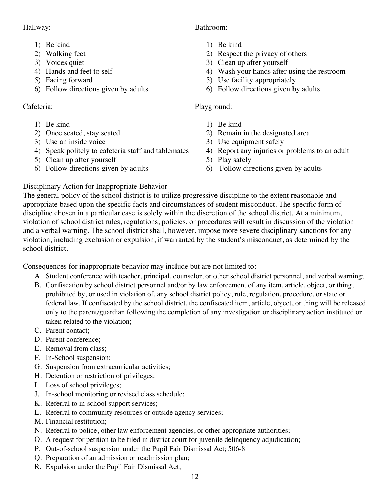#### Hallway:

- 1) Be kind
- 2) Walking feet
- 3) Voices quiet
- 4) Hands and feet to self
- 5) Facing forward
- 6) Follow directions given by adults

## Cafeteria:

- 1) Be kind
- 2) Once seated, stay seated
- 3) Use an inside voice
- 4) Speak politely to cafeteria staff and tablemates
- 5) Clean up after yourself
- 6) Follow directions given by adults

## Bathroom:

- 1) Be kind
- 2) Respect the privacy of others
- 3) Clean up after yourself
- 4) Wash your hands after using the restroom
- 5) Use facility appropriately
- 6) Follow directions given by adults

## Playground:

- 1) Be kind
- 2) Remain in the designated area
- 3) Use equipment safely
- 4) Report any injuries or problems to an adult
- 5) Play safely
- 6) Follow directions given by adults

## Disciplinary Action for Inappropriate Behavior

The general policy of the school district is to utilize progressive discipline to the extent reasonable and appropriate based upon the specific facts and circumstances of student misconduct. The specific form of discipline chosen in a particular case is solely within the discretion of the school district. At a minimum, violation of school district rules, regulations, policies, or procedures will result in discussion of the violation and a verbal warning. The school district shall, however, impose more severe disciplinary sanctions for any violation, including exclusion or expulsion, if warranted by the student's misconduct, as determined by the school district.

Consequences for inappropriate behavior may include but are not limited to:

- A. Student conference with teacher, principal, counselor, or other school district personnel, and verbal warning;
- B. Confiscation by school district personnel and/or by law enforcement of any item, article, object, or thing, prohibited by, or used in violation of, any school district policy, rule, regulation, procedure, or state or federal law. If confiscated by the school district, the confiscated item, article, object, or thing will be released only to the parent/guardian following the completion of any investigation or disciplinary action instituted or taken related to the violation;
- C. Parent contact;
- D. Parent conference;
- E. Removal from class;
- F. In-School suspension;
- G. Suspension from extracurricular activities;
- H. Detention or restriction of privileges;
- I. Loss of school privileges;
- J. In-school monitoring or revised class schedule;
- K. Referral to in-school support services;
- L. Referral to community resources or outside agency services;
- M. Financial restitution;
- N. Referral to police, other law enforcement agencies, or other appropriate authorities;
- O. A request for petition to be filed in district court for juvenile delinquency adjudication;
- P. Out-of-school suspension under the Pupil Fair Dismissal Act; 506-8
- Q. Preparation of an admission or readmission plan;
- R. Expulsion under the Pupil Fair Dismissal Act;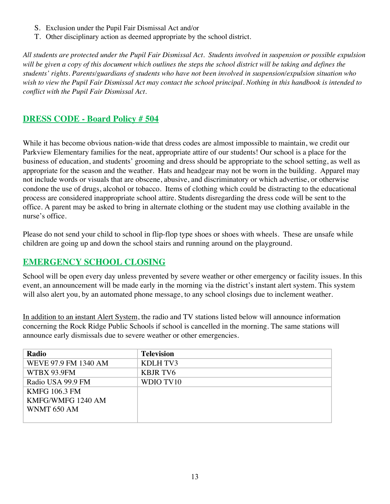- S. Exclusion under the Pupil Fair Dismissal Act and/or
- T. Other disciplinary action as deemed appropriate by the school district.

*All students are protected under the Pupil Fair Dismissal Act. Students involved in suspension or possible expulsion*  will be given a copy of this document which outlines the steps the school district will be taking and defines the *students' rights. Parents/guardians of students who have not been involved in suspension/expulsion situation who wish to view the Pupil Fair Dismissal Act may contact the school principal. Nothing in this handbook is intended to conflict with the Pupil Fair Dismissal Act.* 

## **DRESS CODE - Board Policy # 504**

While it has become obvious nation-wide that dress codes are almost impossible to maintain, we credit our Parkview Elementary families for the neat, appropriate attire of our students! Our school is a place for the business of education, and students' grooming and dress should be appropriate to the school setting, as well as appropriate for the season and the weather. Hats and headgear may not be worn in the building. Apparel may not include words or visuals that are obscene, abusive, and discriminatory or which advertise, or otherwise condone the use of drugs, alcohol or tobacco. Items of clothing which could be distracting to the educational process are considered inappropriate school attire. Students disregarding the dress code will be sent to the office. A parent may be asked to bring in alternate clothing or the student may use clothing available in the nurse's office.

Please do not send your child to school in flip-flop type shoes or shoes with wheels. These are unsafe while children are going up and down the school stairs and running around on the playground.

## **EMERGENCY SCHOOL CLOSING**

School will be open every day unless prevented by severe weather or other emergency or facility issues. In this event, an announcement will be made early in the morning via the district's instant alert system. This system will also alert you, by an automated phone message, to any school closings due to inclement weather.

In addition to an instant Alert System, the radio and TV stations listed below will announce information concerning the Rock Ridge Public Schools if school is cancelled in the morning. The same stations will announce early dismissals due to severe weather or other emergencies.

| Radio                | <b>Television</b> |
|----------------------|-------------------|
| WEVE 97.9 FM 1340 AM | KDLH TV3          |
| WTBX 93.9FM          | <b>KBJR TV6</b>   |
| Radio USA 99.9 FM    | WDIO TV10         |
| <b>KMFG 106.3 FM</b> |                   |
| KMFG/WMFG 1240 AM    |                   |
| WNMT 650 AM          |                   |
|                      |                   |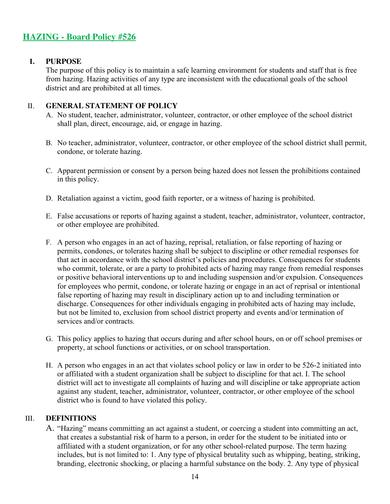## **HAZING - Board Policy #526**

#### **I. PURPOSE**

The purpose of this policy is to maintain a safe learning environment for students and staff that is free from hazing. Hazing activities of any type are inconsistent with the educational goals of the school district and are prohibited at all times.

#### II. **GENERAL STATEMENT OF POLICY**

- A. No student, teacher, administrator, volunteer, contractor, or other employee of the school district shall plan, direct, encourage, aid, or engage in hazing.
- B. No teacher, administrator, volunteer, contractor, or other employee of the school district shall permit, condone, or tolerate hazing.
- C. Apparent permission or consent by a person being hazed does not lessen the prohibitions contained in this policy.
- D. Retaliation against a victim, good faith reporter, or a witness of hazing is prohibited.
- E. False accusations or reports of hazing against a student, teacher, administrator, volunteer, contractor, or other employee are prohibited.
- F. A person who engages in an act of hazing, reprisal, retaliation, or false reporting of hazing or permits, condones, or tolerates hazing shall be subject to discipline or other remedial responses for that act in accordance with the school district's policies and procedures. Consequences for students who commit, tolerate, or are a party to prohibited acts of hazing may range from remedial responses or positive behavioral interventions up to and including suspension and/or expulsion. Consequences for employees who permit, condone, or tolerate hazing or engage in an act of reprisal or intentional false reporting of hazing may result in disciplinary action up to and including termination or discharge. Consequences for other individuals engaging in prohibited acts of hazing may include, but not be limited to, exclusion from school district property and events and/or termination of services and/or contracts.
- G. This policy applies to hazing that occurs during and after school hours, on or off school premises or property, at school functions or activities, or on school transportation.
- H. A person who engages in an act that violates school policy or law in order to be 526-2 initiated into or affiliated with a student organization shall be subject to discipline for that act. I. The school district will act to investigate all complaints of hazing and will discipline or take appropriate action against any student, teacher, administrator, volunteer, contractor, or other employee of the school district who is found to have violated this policy.

#### III. **DEFINITIONS**

A. "Hazing" means committing an act against a student, or coercing a student into committing an act, that creates a substantial risk of harm to a person, in order for the student to be initiated into or affiliated with a student organization, or for any other school-related purpose. The term hazing includes, but is not limited to: 1. Any type of physical brutality such as whipping, beating, striking, branding, electronic shocking, or placing a harmful substance on the body. 2. Any type of physical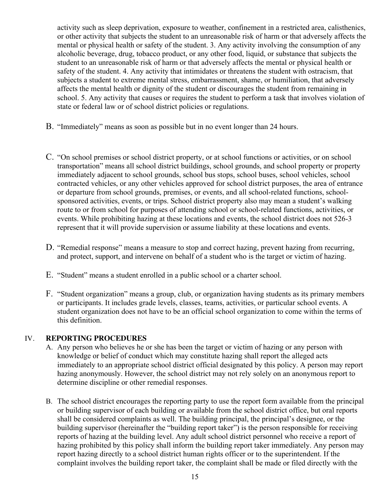activity such as sleep deprivation, exposure to weather, confinement in a restricted area, calisthenics, or other activity that subjects the student to an unreasonable risk of harm or that adversely affects the mental or physical health or safety of the student. 3. Any activity involving the consumption of any alcoholic beverage, drug, tobacco product, or any other food, liquid, or substance that subjects the student to an unreasonable risk of harm or that adversely affects the mental or physical health or safety of the student. 4. Any activity that intimidates or threatens the student with ostracism, that subjects a student to extreme mental stress, embarrassment, shame, or humiliation, that adversely affects the mental health or dignity of the student or discourages the student from remaining in school. 5. Any activity that causes or requires the student to perform a task that involves violation of state or federal law or of school district policies or regulations.

- B. "Immediately" means as soon as possible but in no event longer than 24 hours.
- C. "On school premises or school district property, or at school functions or activities, or on school transportation" means all school district buildings, school grounds, and school property or property immediately adjacent to school grounds, school bus stops, school buses, school vehicles, school contracted vehicles, or any other vehicles approved for school district purposes, the area of entrance or departure from school grounds, premises, or events, and all school-related functions, schoolsponsored activities, events, or trips. School district property also may mean a student's walking route to or from school for purposes of attending school or school-related functions, activities, or events. While prohibiting hazing at these locations and events, the school district does not 526-3 represent that it will provide supervision or assume liability at these locations and events.
- D. "Remedial response" means a measure to stop and correct hazing, prevent hazing from recurring, and protect, support, and intervene on behalf of a student who is the target or victim of hazing.
- E. "Student" means a student enrolled in a public school or a charter school.
- F. "Student organization" means a group, club, or organization having students as its primary members or participants. It includes grade levels, classes, teams, activities, or particular school events. A student organization does not have to be an official school organization to come within the terms of this definition.

#### IV. **REPORTING PROCEDURES**

- A. Any person who believes he or she has been the target or victim of hazing or any person with knowledge or belief of conduct which may constitute hazing shall report the alleged acts immediately to an appropriate school district official designated by this policy. A person may report hazing anonymously. However, the school district may not rely solely on an anonymous report to determine discipline or other remedial responses.
- B. The school district encourages the reporting party to use the report form available from the principal or building supervisor of each building or available from the school district office, but oral reports shall be considered complaints as well. The building principal, the principal's designee, or the building supervisor (hereinafter the "building report taker") is the person responsible for receiving reports of hazing at the building level. Any adult school district personnel who receive a report of hazing prohibited by this policy shall inform the building report taker immediately. Any person may report hazing directly to a school district human rights officer or to the superintendent. If the complaint involves the building report taker, the complaint shall be made or filed directly with the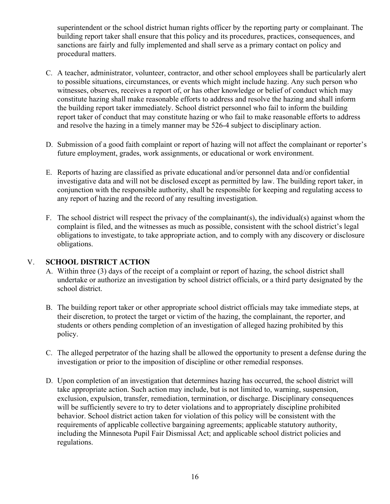superintendent or the school district human rights officer by the reporting party or complainant. The building report taker shall ensure that this policy and its procedures, practices, consequences, and sanctions are fairly and fully implemented and shall serve as a primary contact on policy and procedural matters.

- C. A teacher, administrator, volunteer, contractor, and other school employees shall be particularly alert to possible situations, circumstances, or events which might include hazing. Any such person who witnesses, observes, receives a report of, or has other knowledge or belief of conduct which may constitute hazing shall make reasonable efforts to address and resolve the hazing and shall inform the building report taker immediately. School district personnel who fail to inform the building report taker of conduct that may constitute hazing or who fail to make reasonable efforts to address and resolve the hazing in a timely manner may be 526-4 subject to disciplinary action.
- D. Submission of a good faith complaint or report of hazing will not affect the complainant or reporter's future employment, grades, work assignments, or educational or work environment.
- E. Reports of hazing are classified as private educational and/or personnel data and/or confidential investigative data and will not be disclosed except as permitted by law. The building report taker, in conjunction with the responsible authority, shall be responsible for keeping and regulating access to any report of hazing and the record of any resulting investigation.
- F. The school district will respect the privacy of the complainant(s), the individual(s) against whom the complaint is filed, and the witnesses as much as possible, consistent with the school district's legal obligations to investigate, to take appropriate action, and to comply with any discovery or disclosure obligations.

#### V. **SCHOOL DISTRICT ACTION**

- A. Within three (3) days of the receipt of a complaint or report of hazing, the school district shall undertake or authorize an investigation by school district officials, or a third party designated by the school district.
- B. The building report taker or other appropriate school district officials may take immediate steps, at their discretion, to protect the target or victim of the hazing, the complainant, the reporter, and students or others pending completion of an investigation of alleged hazing prohibited by this policy.
- C. The alleged perpetrator of the hazing shall be allowed the opportunity to present a defense during the investigation or prior to the imposition of discipline or other remedial responses.
- D. Upon completion of an investigation that determines hazing has occurred, the school district will take appropriate action. Such action may include, but is not limited to, warning, suspension, exclusion, expulsion, transfer, remediation, termination, or discharge. Disciplinary consequences will be sufficiently severe to try to deter violations and to appropriately discipline prohibited behavior. School district action taken for violation of this policy will be consistent with the requirements of applicable collective bargaining agreements; applicable statutory authority, including the Minnesota Pupil Fair Dismissal Act; and applicable school district policies and regulations.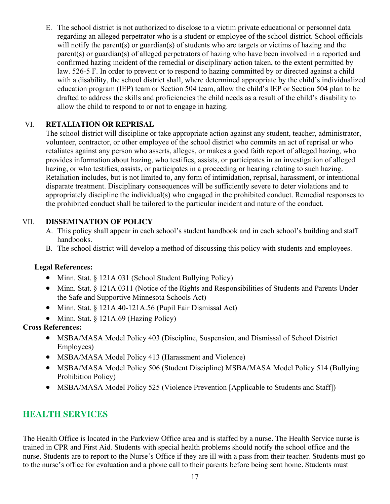E. The school district is not authorized to disclose to a victim private educational or personnel data regarding an alleged perpetrator who is a student or employee of the school district. School officials will notify the parent(s) or guardian(s) of students who are targets or victims of hazing and the parent(s) or guardian(s) of alleged perpetrators of hazing who have been involved in a reported and confirmed hazing incident of the remedial or disciplinary action taken, to the extent permitted by law. 526-5 F. In order to prevent or to respond to hazing committed by or directed against a child with a disability, the school district shall, where determined appropriate by the child's individualized education program (IEP) team or Section 504 team, allow the child's IEP or Section 504 plan to be drafted to address the skills and proficiencies the child needs as a result of the child's disability to allow the child to respond to or not to engage in hazing.

#### VI. **RETALIATION OR REPRISAL**

The school district will discipline or take appropriate action against any student, teacher, administrator, volunteer, contractor, or other employee of the school district who commits an act of reprisal or who retaliates against any person who asserts, alleges, or makes a good faith report of alleged hazing, who provides information about hazing, who testifies, assists, or participates in an investigation of alleged hazing, or who testifies, assists, or participates in a proceeding or hearing relating to such hazing. Retaliation includes, but is not limited to, any form of intimidation, reprisal, harassment, or intentional disparate treatment. Disciplinary consequences will be sufficiently severe to deter violations and to appropriately discipline the individual(s) who engaged in the prohibited conduct. Remedial responses to the prohibited conduct shall be tailored to the particular incident and nature of the conduct.

#### VII. **DISSEMINATION OF POLICY**

- A. This policy shall appear in each school's student handbook and in each school's building and staff handbooks.
- B. The school district will develop a method of discussing this policy with students and employees.

#### **Legal References:**

- Minn. Stat. § 121A.031 (School Student Bullying Policy)
- Minn. Stat. § 121A.0311 (Notice of the Rights and Responsibilities of Students and Parents Under the Safe and Supportive Minnesota Schools Act)
- Minn. Stat. § 121A.40-121A.56 (Pupil Fair Dismissal Act)
- Minn. Stat. § 121A.69 (Hazing Policy)

#### **Cross References:**

- MSBA/MASA Model Policy 403 (Discipline, Suspension, and Dismissal of School District Employees)
- MSBA/MASA Model Policy 413 (Harassment and Violence)
- MSBA/MASA Model Policy 506 (Student Discipline) MSBA/MASA Model Policy 514 (Bullying Prohibition Policy)
- MSBA/MASA Model Policy 525 (Violence Prevention [Applicable to Students and Staff])

## **HEALTH SERVICES**

The Health Office is located in the Parkview Office area and is staffed by a nurse. The Health Service nurse is trained in CPR and First Aid. Students with special health problems should notify the school office and the nurse. Students are to report to the Nurse's Office if they are ill with a pass from their teacher. Students must go to the nurse's office for evaluation and a phone call to their parents before being sent home. Students must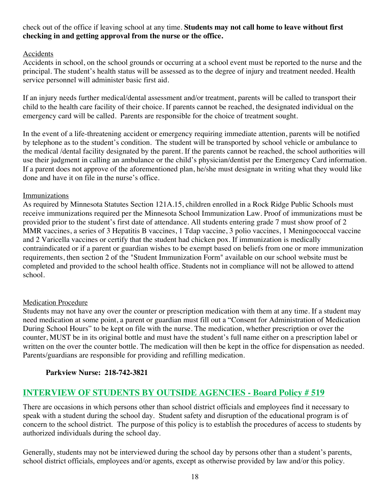#### check out of the office if leaving school at any time. **Students may not call home to leave without first checking in and getting approval from the nurse or the office.**

#### Accidents

Accidents in school, on the school grounds or occurring at a school event must be reported to the nurse and the principal. The student's health status will be assessed as to the degree of injury and treatment needed. Health service personnel will administer basic first aid.

If an injury needs further medical/dental assessment and/or treatment, parents will be called to transport their child to the health care facility of their choice. If parents cannot be reached, the designated individual on the emergency card will be called. Parents are responsible for the choice of treatment sought.

In the event of a life-threatening accident or emergency requiring immediate attention, parents will be notified by telephone as to the student's condition. The student will be transported by school vehicle or ambulance to the medical /dental facility designated by the parent. If the parents cannot be reached, the school authorities will use their judgment in calling an ambulance or the child's physician/dentist per the Emergency Card information. If a parent does not approve of the aforementioned plan, he/she must designate in writing what they would like done and have it on file in the nurse's office.

#### Immunizations

As required by Minnesota Statutes Section 121A.15, children enrolled in a Rock Ridge Public Schools must receive immunizations required per the Minnesota School Immunization Law. Proof of immunizations must be provided prior to the student's first date of attendance. All students entering grade 7 must show proof of 2 MMR vaccines, a series of 3 Hepatitis B vaccines, 1 Tdap vaccine, 3 polio vaccines, 1 Meningococcal vaccine and 2 Varicella vaccines or certify that the student had chicken pox. If immunization is medically contraindicated or if a parent or guardian wishes to be exempt based on beliefs from one or more immunization requirements, then section 2 of the "Student Immunization Form" available on our school website must be completed and provided to the school health office. Students not in compliance will not be allowed to attend school.

#### Medication Procedure

Students may not have any over the counter or prescription medication with them at any time. If a student may need medication at some point, a parent or guardian must fill out a "Consent for Administration of Medication During School Hours" to be kept on file with the nurse. The medication, whether prescription or over the counter, MUST be in its original bottle and must have the student's full name either on a prescription label or written on the over the counter bottle. The medication will then be kept in the office for dispensation as needed. Parents/guardians are responsible for providing and refilling medication.

#### **Parkview Nurse: 218-742-3821**

## **INTERVIEW OF STUDENTS BY OUTSIDE AGENCIES - Board Policy # 519**

There are occasions in which persons other than school district officials and employees find it necessary to speak with a student during the school day. Student safety and disruption of the educational program is of concern to the school district. The purpose of this policy is to establish the procedures of access to students by authorized individuals during the school day.

Generally, students may not be interviewed during the school day by persons other than a student's parents, school district officials, employees and/or agents, except as otherwise provided by law and/or this policy.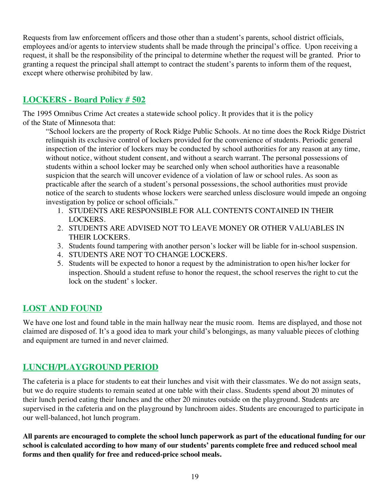Requests from law enforcement officers and those other than a student's parents, school district officials, employees and/or agents to interview students shall be made through the principal's office. Upon receiving a request, it shall be the responsibility of the principal to determine whether the request will be granted. Prior to granting a request the principal shall attempt to contract the student's parents to inform them of the request, except where otherwise prohibited by law.

## **LOCKERS - Board Policy # 502**

The 1995 Omnibus Crime Act creates a statewide school policy. It provides that it is the policy of the State of Minnesota that:

"School lockers are the property of Rock Ridge Public Schools. At no time does the Rock Ridge District relinquish its exclusive control of lockers provided for the convenience of students. Periodic general inspection of the interior of lockers may be conducted by school authorities for any reason at any time, without notice, without student consent, and without a search warrant. The personal possessions of students within a school locker may be searched only when school authorities have a reasonable suspicion that the search will uncover evidence of a violation of law or school rules. As soon as practicable after the search of a student's personal possessions, the school authorities must provide notice of the search to students whose lockers were searched unless disclosure would impede an ongoing investigation by police or school officials."

- 1. STUDENTS ARE RESPONSIBLE FOR ALL CONTENTS CONTAINED IN THEIR LOCKERS.
- 2. STUDENTS ARE ADVISED NOT TO LEAVE MONEY OR OTHER VALUABLES IN THEIR LOCKERS.
- 3. Students found tampering with another person's locker will be liable for in-school suspension.
- 4. STUDENTS ARE NOT TO CHANGE LOCKERS.
- 5. Students will be expected to honor a request by the administration to open his/her locker for inspection. Should a student refuse to honor the request, the school reserves the right to cut the lock on the student' s locker.

## **LOST AND FOUND**

We have one lost and found table in the main hallway near the music room. Items are displayed, and those not claimed are disposed of. It's a good idea to mark your child's belongings, as many valuable pieces of clothing and equipment are turned in and never claimed.

## **LUNCH/PLAYGROUND PERIOD**

The cafeteria is a place for students to eat their lunches and visit with their classmates. We do not assign seats, but we do require students to remain seated at one table with their class. Students spend about 20 minutes of their lunch period eating their lunches and the other 20 minutes outside on the playground. Students are supervised in the cafeteria and on the playground by lunchroom aides. Students are encouraged to participate in our well-balanced, hot lunch program.

**All parents are encouraged to complete the school lunch paperwork as part of the educational funding for our school is calculated according to how many of our students' parents complete free and reduced school meal forms and then qualify for free and reduced-price school meals.**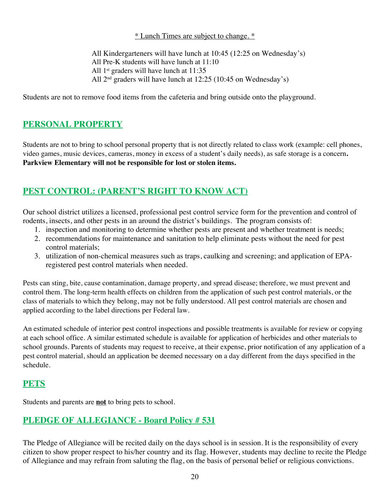#### \* Lunch Times are subject to change. \*

All Kindergarteners will have lunch at 10:45 (12:25 on Wednesday's) All Pre-K students will have lunch at 11:10 All 1<sup>st</sup> graders will have lunch at 11:35 All  $2<sup>nd</sup>$  graders will have lunch at 12:25 (10:45 on Wednesday's)

Students are not to remove food items from the cafeteria and bring outside onto the playground.

## **PERSONAL PROPERTY**

Students are not to bring to school personal property that is not directly related to class work (example: cell phones, video games, music devices, cameras, money in excess of a student's daily needs), as safe storage is a concern**. Parkview Elementary will not be responsible for lost or stolen items.** 

## **PEST CONTROL: (PARENT'S RIGHT TO KNOW ACT)**

Our school district utilizes a licensed, professional pest control service form for the prevention and control of rodents, insects, and other pests in an around the district's buildings. The program consists of:

- 1. inspection and monitoring to determine whether pests are present and whether treatment is needs;
- 2. recommendations for maintenance and sanitation to help eliminate pests without the need for pest control materials;
- 3. utilization of non-chemical measures such as traps, caulking and screening; and application of EPAregistered pest control materials when needed.

Pests can sting, bite, cause contamination, damage property, and spread disease; therefore, we must prevent and control them. The long-term health effects on children from the application of such pest control materials, or the class of materials to which they belong, may not be fully understood. All pest control materials are chosen and applied according to the label directions per Federal law.

An estimated schedule of interior pest control inspections and possible treatments is available for review or copying at each school office. A similar estimated schedule is available for application of herbicides and other materials to school grounds. Parents of students may request to receive, at their expense, prior notification of any application of a pest control material, should an application be deemed necessary on a day different from the days specified in the schedule.

## **PETS**

Students and parents are **not** to bring pets to school.

## **PLEDGE OF ALLEGIANCE - Board Policy # 531**

The Pledge of Allegiance will be recited daily on the days school is in session. It is the responsibility of every citizen to show proper respect to his/her country and its flag. However, students may decline to recite the Pledge of Allegiance and may refrain from saluting the flag, on the basis of personal belief or religious convictions.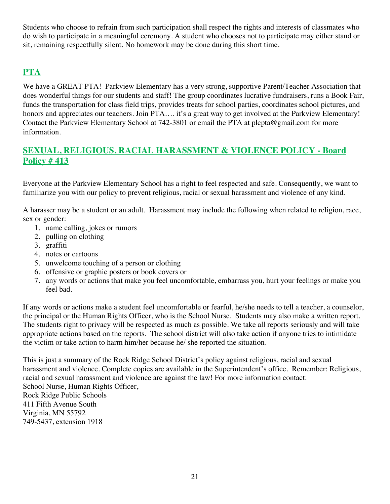Students who choose to refrain from such participation shall respect the rights and interests of classmates who do wish to participate in a meaningful ceremony. A student who chooses not to participate may either stand or sit, remaining respectfully silent. No homework may be done during this short time.

## **PTA**

We have a GREAT PTA! Parkview Elementary has a very strong, supportive Parent/Teacher Association that does wonderful things for our students and staff! The group coordinates lucrative fundraisers, runs a Book Fair, funds the transportation for class field trips, provides treats for school parties, coordinates school pictures, and honors and appreciates our teachers. Join PTA.... it's a great way to get involved at the Parkview Elementary! Contact the Parkview Elementary School at 742-3801 or email the PTA at plcpta@gmail.com for more information.

## **SEXUAL, RELIGIOUS, RACIAL HARASSMENT & VIOLENCE POLICY - Board Policy # 413**

Everyone at the Parkview Elementary School has a right to feel respected and safe. Consequently, we want to familiarize you with our policy to prevent religious, racial or sexual harassment and violence of any kind.

A harasser may be a student or an adult. Harassment may include the following when related to religion, race, sex or gender:

- 1. name calling, jokes or rumors
- 2. pulling on clothing
- 3. graffiti
- 4. notes or cartoons
- 5. unwelcome touching of a person or clothing
- 6. offensive or graphic posters or book covers or
- 7. any words or actions that make you feel uncomfortable, embarrass you, hurt your feelings or make you feel bad.

If any words or actions make a student feel uncomfortable or fearful, he/she needs to tell a teacher, a counselor, the principal or the Human Rights Officer, who is the School Nurse. Students may also make a written report. The students right to privacy will be respected as much as possible. We take all reports seriously and will take appropriate actions based on the reports. The school district will also take action if anyone tries to intimidate the victim or take action to harm him/her because he/ she reported the situation.

This is just a summary of the Rock Ridge School District's policy against religious, racial and sexual harassment and violence. Complete copies are available in the Superintendent's office. Remember: Religious, racial and sexual harassment and violence are against the law! For more information contact: School Nurse, Human Rights Officer, Rock Ridge Public Schools 411 Fifth Avenue South Virginia, MN 55792 749-5437, extension 1918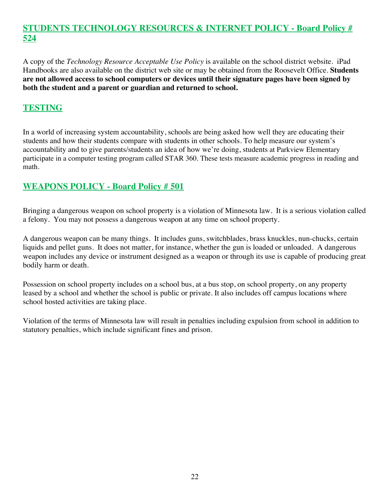## **STUDENTS TECHNOLOGY RESOURCES & INTERNET POLICY - Board Policy # 524**

A copy of the *Technology Resource Acceptable Use Policy* is available on the school district website. iPad Handbooks are also available on the district web site or may be obtained from the Roosevelt Office. **Students are not allowed access to school computers or devices until their signature pages have been signed by both the student and a parent or guardian and returned to school.**

## **TESTING**

In a world of increasing system accountability, schools are being asked how well they are educating their students and how their students compare with students in other schools. To help measure our system's accountability and to give parents/students an idea of how we're doing, students at Parkview Elementary participate in a computer testing program called STAR 360. These tests measure academic progress in reading and math.

## **WEAPONS POLICY - Board Policy # 501**

Bringing a dangerous weapon on school property is a violation of Minnesota law. It is a serious violation called a felony. You may not possess a dangerous weapon at any time on school property.

A dangerous weapon can be many things. It includes guns, switchblades, brass knuckles, nun-chucks, certain liquids and pellet guns. It does not matter, for instance, whether the gun is loaded or unloaded. A dangerous weapon includes any device or instrument designed as a weapon or through its use is capable of producing great bodily harm or death.

Possession on school property includes on a school bus, at a bus stop, on school property, on any property leased by a school and whether the school is public or private. It also includes off campus locations where school hosted activities are taking place.

Violation of the terms of Minnesota law will result in penalties including expulsion from school in addition to statutory penalties, which include significant fines and prison.